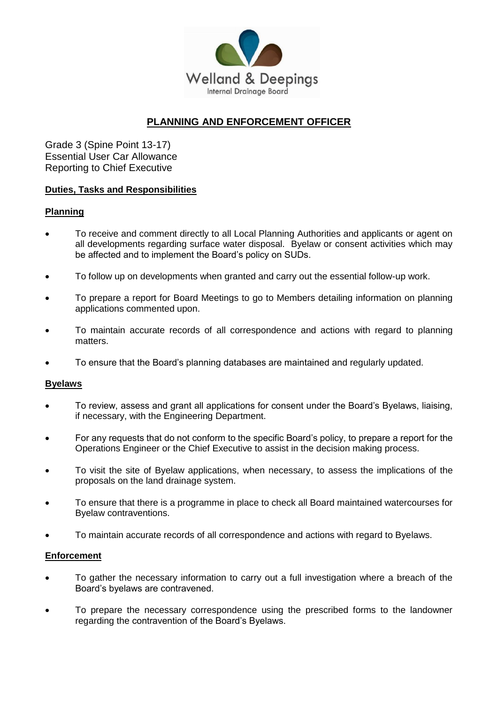

# **PLANNING AND ENFORCEMENT OFFICER**

Grade 3 (Spine Point 13-17) Essential User Car Allowance Reporting to Chief Executive

## **Duties, Tasks and Responsibilities**

## **Planning**

- To receive and comment directly to all Local Planning Authorities and applicants or agent on all developments regarding surface water disposal. Byelaw or consent activities which may be affected and to implement the Board's policy on SUDs.
- To follow up on developments when granted and carry out the essential follow-up work.
- To prepare a report for Board Meetings to go to Members detailing information on planning applications commented upon.
- To maintain accurate records of all correspondence and actions with regard to planning matters.
- To ensure that the Board's planning databases are maintained and regularly updated.

# **Byelaws**

- To review, assess and grant all applications for consent under the Board's Byelaws, liaising, if necessary, with the Engineering Department.
- For any requests that do not conform to the specific Board's policy, to prepare a report for the Operations Engineer or the Chief Executive to assist in the decision making process.
- To visit the site of Byelaw applications, when necessary, to assess the implications of the proposals on the land drainage system.
- To ensure that there is a programme in place to check all Board maintained watercourses for Byelaw contraventions.
- To maintain accurate records of all correspondence and actions with regard to Byelaws.

#### **Enforcement**

- To gather the necessary information to carry out a full investigation where a breach of the Board's byelaws are contravened.
- To prepare the necessary correspondence using the prescribed forms to the landowner regarding the contravention of the Board's Byelaws.